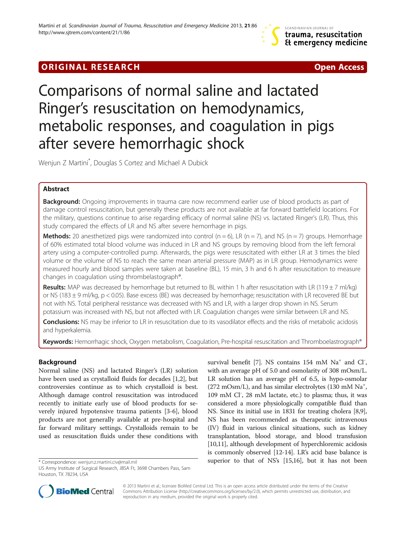# **ORIGINAL RESEARCH CONSUMING A RESEARCH CONSUMING A RESEARCH**

# Comparisons of normal saline and lactated Ringer's resuscitation on hemodynamics, metabolic responses, and coagulation in pigs after severe hemorrhagic shock

Wenjun Z Martini\* , Douglas S Cortez and Michael A Dubick

# Abstract

**Background:** Ongoing improvements in trauma care now recommend earlier use of blood products as part of damage control resuscitation, but generally these products are not available at far forward battlefield locations. For the military, questions continue to arise regarding efficacy of normal saline (NS) vs. lactated Ringer's (LR). Thus, this study compared the effects of LR and NS after severe hemorrhage in pigs.

**Methods:** 20 anesthetized pigs were randomized into control ( $n = 6$ ), LR ( $n = 7$ ), and NS ( $n = 7$ ) groups. Hemorrhage of 60% estimated total blood volume was induced in LR and NS groups by removing blood from the left femoral artery using a computer-controlled pump. Afterwards, the pigs were resuscitated with either LR at 3 times the bled volume or the volume of NS to reach the same mean arterial pressure (MAP) as in LR group. Hemodynamics were measured hourly and blood samples were taken at baseline (BL), 15 min, 3 h and 6 h after resuscitation to measure changes in coagulation using thrombelastograph®.

Results: MAP was decreased by hemorrhage but returned to BL within 1 h after resuscitation with LR (119  $\pm$  7 ml/kg) or NS (183 ± 9 ml/kg, p < 0.05). Base excess (BE) was decreased by hemorrhage; resuscitation with LR recovered BE but not with NS. Total peripheral resistance was decreased with NS and LR, with a larger drop shown in NS. Serum potassium was increased with NS, but not affected with LR. Coagulation changes were similar between LR and NS.

Conclusions: NS may be inferior to LR in resuscitation due to its vasodilator effects and the risks of metabolic acidosis and hyperkalemia.

Keywords: Hemorrhagic shock, Oxygen metabolism, Coagulation, Pre-hospital resuscitation and Thromboelastrograph®

# Background

Normal saline (NS) and lactated Ringer's (LR) solution have been used as crystalloid fluids for decades [[1,2\]](#page-10-0), but controversies continue as to which crystalloid is best. Although damage control resuscitation was introduced recently to initiate early use of blood products for severely injured hypotensive trauma patients [\[3](#page-10-0)-[6\]](#page-10-0), blood products are not generally available at pre-hospital and far forward military settings. Crystalloids remain to be used as resuscitation fluids under these conditions with

survival benefit [\[7\]](#page-10-0). NS contains 154 mM Na<sup>+</sup> and Cl<sup>-</sup>, with an average pH of 5.0 and osmolarity of 308 mOsm/L. LR solution has an average pH of 6.5, is hypo-osmolar (272 mOsm/L), and has similar electrolytes (130 mM  $\mathrm{Na}^+$ , 109 mM Cl<sup>-</sup>, 28 mM lactate, etc.) to plasma; thus, it was considered a more physiologically compatible fluid than NS. Since its initial use in 1831 for treating cholera [[8,9](#page-10-0)], NS has been recommended as therapeutic intravenous (IV) fluid in various clinical situations, such as kidney transplantation, blood storage, and blood transfusion [[10,11](#page-10-0)], although development of hyperchloremic acidosis is commonly observed [\[12-14](#page-10-0)]. LR's acid base balance is \*Correspondence: [wenjun.z.martini.civ@mail.mil](mailto:wenjun.z.martini.civ@mail.mil) superior to that of NS's [[15,16\]](#page-10-0), but it has not been



© 2013 Martini et al.; licensee BioMed Central Ltd. This is an open access article distributed under the terms of the Creative Commons Attribution License [\(http://creativecommons.org/licenses/by/2.0\)](http://creativecommons.org/licenses/by/2.0), which permits unrestricted use, distribution, and reproduction in any medium, provided the original work is properly cited.

US Army Institute of Surgical Research, JBSA Ft, 3698 Chambers Pass, Sam Houston, TX 78234, USA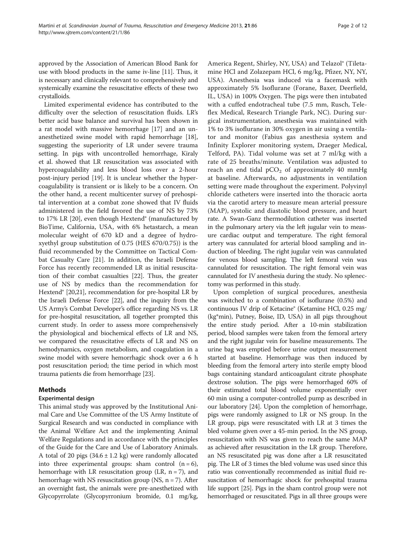approved by the Association of American Blood Bank for use with blood products in the same iv-line [[11](#page-10-0)]. Thus, it is necessary and clinically relevant to comprehensively and systemically examine the resuscitative effects of these two crystalloids.

Limited experimental evidence has contributed to the difficulty over the selection of resuscitation fluids. LR's better acid base balance and survival has been shown in a rat model with massive hemorrhage [[17](#page-10-0)] and an unanesthetized swine model with rapid hemorrhage [\[18](#page-10-0)], suggesting the superiority of LR under severe trauma setting. In pigs with uncontrolled hemorrhage, Kiraly et al. showed that LR resuscitation was associated with hypercoagulability and less blood loss over a 2-hour post-injury period [[19\]](#page-10-0). It is unclear whether the hypercoagulability is transient or is likely to be a concern. On the other hand, a recent multicenter survey of prehospital intervention at a combat zone showed that IV fluids administered in the field favored the use of NS by 73% to 17% LR [\[20](#page-10-0)], even though Hextend<sup>®</sup> (manufactured by BioTime, California, USA, with 6% hetastarch, a mean molecular weight of 670 kD and a degree of hydroxyethyl group substitution of 0.75 (HES 670/0.75)) is the fluid recommended by the Committee on Tactical Combat Casualty Care [\[21](#page-10-0)]. In addition, the Israeli Defense Force has recently recommended LR as initial resuscitation of their combat casualties [\[22](#page-10-0)]. Thus, the greater use of NS by medics than the recommendation for Hextend<sup>®</sup> [\[20,21](#page-10-0)], recommendation for pre-hospital LR by the Israeli Defense Force [\[22\]](#page-10-0), and the inquiry from the US Army's Combat Developer's office regarding NS vs. LR for pre-hospital resuscitation, all together prompted this current study. In order to assess more comprehensively the physiological and biochemical effects of LR and NS, we compared the resuscitative effects of LR and NS on hemodynamics, oxygen metabolism, and coagulation in a swine model with severe hemorrhagic shock over a 6 h post resuscitation period; the time period in which most trauma patients die from hemorrhage [\[23](#page-10-0)].

# Methods

# Experimental design

This animal study was approved by the Institutional Animal Care and Use Committee of the US Army Institute of Surgical Research and was conducted in compliance with the Animal Welfare Act and the implementing Animal Welfare Regulations and in accordance with the principles of the Guide for the Care and Use of Laboratory Animals. A total of 20 pigs  $(34.6 \pm 1.2 \text{ kg})$  were randomly allocated into three experimental groups: sham control  $(n = 6)$ , hemorrhage with LR resuscitation group (LR,  $n = 7$ ), and hemorrhage with NS resuscitation group (NS,  $n = 7$ ). After an overnight fast, the animals were pre-anesthetized with Glycopyrrolate (Glycopyrronium bromide, 0.1 mg/kg,

America Regent, Shirley, NY, USA) and Telazol® (Tiletamine HCl and Zolazepam HCl, 6 mg/kg, Pfizer, NY, NY, USA). Anesthesia was induced via a facemask with approximately 5% Isoflurane (Forane, Baxer, Deerfield, IL, USA) in 100% Oxygen. The pigs were then intubated with a cuffed endotracheal tube (7.5 mm, Rusch, Teleflex Medical, Research Triangle Park, NC). During surgical instrumentation, anesthesia was maintained with 1% to 3% isoflurane in 30% oxygen in air using a ventilator and monitor (Fabius gas anesthesia system and Infinity Explorer monitoring system, Draeger Medical, Telford, PA). Tidal volume was set at 7 ml/kg with a rate of 25 breaths/minute. Ventilation was adjusted to reach an end tidal  $pCO<sub>2</sub>$  of approximately 40 mmHg at baseline. Afterwards, no adjustments in ventilation setting were made throughout the experiment. Polyvinyl chloride catheters were inserted into the thoracic aorta via the carotid artery to measure mean arterial pressure (MAP), systolic and diastolic blood pressure, and heart rate. A Swan-Ganz thermodilution catheter was inserted in the pulmonary artery via the left jugular vein to measure cardiac output and temperature. The right femoral artery was cannulated for arterial blood sampling and induction of bleeding. The right jugular vein was cannulated for venous blood sampling. The left femoral vein was cannulated for resuscitation. The right femoral vein was cannulated for IV anesthesia during the study. No splenectomy was performed in this study.

Upon completion of surgical procedures, anesthesia was switched to a combination of isoflurane (0.5%) and continuous IV drip of Ketacine® (Ketamine HCl, 0.25 mg/ (kg\*min), Putney, Boise, ID, USA) in all pigs throughout the entire study period. After a 10-min stabilization period, blood samples were taken from the femoral artery and the right jugular vein for baseline measurements. The urine bag was emptied before urine output measurement started at baseline. Hemorrhage was then induced by bleeding from the femoral artery into sterile empty blood bags containing standard anticoagulant citrate phosphate dextrose solution. The pigs were hemorrhaged 60% of their estimated total blood volume exponentially over 60 min using a computer-controlled pump as described in our laboratory [[24](#page-10-0)]. Upon the completion of hemorrhage, pigs were randomly assigned to LR or NS group. In the LR group, pigs were resuscitated with LR at 3 times the bled volume given over a 45-min period. In the NS group, resuscitation with NS was given to reach the same MAP as achieved after resuscitation in the LR group. Therefore, an NS resuscitated pig was done after a LR resuscitated pig. The LR of 3 times the bled volume was used since this ratio was conventionally recommended as initial fluid resuscitation of hemorrhagic shock for prehospital trauma life support [[25](#page-10-0)]. Pigs in the sham control group were not hemorrhaged or resuscitated. Pigs in all three groups were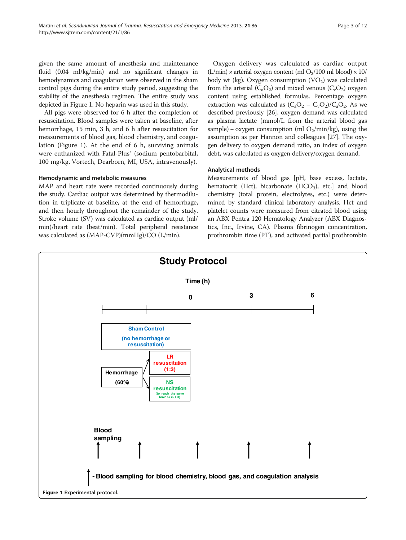given the same amount of anesthesia and maintenance fluid (0.04 ml/kg/min) and no significant changes in hemodynamics and coagulation were observed in the sham control pigs during the entire study period, suggesting the stability of the anesthesia regimen. The entire study was depicted in Figure 1. No heparin was used in this study.

All pigs were observed for 6 h after the completion of resuscitation. Blood samples were taken at baseline, after hemorrhage, 15 min, 3 h, and 6 h after resuscitation for measurements of blood gas, blood chemistry, and coagulation (Figure 1). At the end of 6 h, surviving animals were euthanized with Fatal-Plus<sup>®</sup> (sodium pentobarbital, 100 mg/kg, Vortech, Dearborn, MI, USA, intravenously).

# Hemodynamic and metabolic measures

MAP and heart rate were recorded continuously during the study. Cardiac output was determined by thermodilution in triplicate at baseline, at the end of hemorrhage, and then hourly throughout the remainder of the study. Stroke volume (SV) was calculated as cardiac output (ml/ min)/heart rate (beat/min). Total peripheral resistance was calculated as (MAP-CVP)(mmHg)/CO (L/min).

Oxygen delivery was calculated as cardiac output  $(L/min) \times$  arterial oxygen content (ml  $O_2/100$  ml blood)  $\times 10/$ body wt (kg). Oxygen consumption  $(VO<sub>2</sub>)$  was calculated from the arterial  $(C_aO_2)$  and mixed venous  $(C_vO_2)$  oxygen content using established formulas. Percentage oxygen extraction was calculated as  $(C_aO_2 - C_vO_2)/C_aO_2$ . As we described previously [[26](#page-10-0)], oxygen demand was calculated as plasma lactate (mmol/L from the arterial blood gas sample) + oxygen consumption (ml  $O_2/\text{min/kg}$ ), using the assumption as per Hannon and colleagues [[27](#page-10-0)]. The oxygen delivery to oxygen demand ratio, an index of oxygen debt, was calculated as oxygen delivery/oxygen demand.

# Analytical methods

Measurements of blood gas [pH, base excess, lactate, hematocrit (Hct), bicarbonate (HCO<sub>3</sub>), etc.] and blood chemistry (total protein, electrolytes, etc.) were determined by standard clinical laboratory analysis. Hct and platelet counts were measured from citrated blood using an ABX Pentra 120 Hematology Analyzer (ABX Diagnostics, Inc., Irvine, CA). Plasma fibrinogen concentration, prothrombin time (PT), and activated partial prothrombin

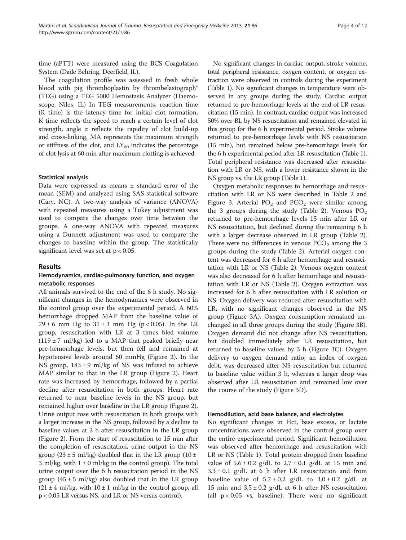time (aPTT) were measured using the BCS Coagulation System (Dade Behring, Deerfield, IL).

The coagulation profile was assessed in fresh whole blood with pig thromboplastin by thrombelastograph® (TEG) using a TEG 5000 Hemostasis Analyzer (Haemoscope, Niles, IL) In TEG measurements, reaction time (R time) is the latency time for initial clot formation, K time reflects the speed to reach a certain level of clot strength, angle  $\alpha$  reflects the rapidity of clot build-up and cross-linking, MA represents the maximum strength or stiffness of the clot, and  $LY_{60}$  indicates the percentage of clot lysis at 60 min after maximum clotting is achieved.

#### Statistical analysis

Data were expressed as means ± standard error of the mean (SEM) and analyzed using SAS statistical software (Cary, NC). A two-way analysis of variance (ANOVA) with repeated measures using a Tukey adjustment was used to compare the changes over time between the groups. A one-way ANOVA with repeated measures using a Dunnett adjustment was used to compare the changes to baseline within the group. The statistically significant level was set at  $p < 0.05$ .

#### Results

# Hemodynamics, cardiac-pulmonary function, and oxygen metabolic responses

All animals survived to the end of the 6 h study. No significant changes in the hemodynamics were observed in the control group over the experimental period. A 60% hemorrhage dropped MAP from the baseline value of 79 ± 6 mm Hg to  $31 \pm 3$  mm Hg (p < 0.05). In the LR group, resuscitation with LR at 3 times bled volume (119  $\pm$  7 ml/kg) led to a MAP that peaked briefly near pre-hemorrhage levels, but then fell and remained at hypotensive levels around 60 mmHg (Figure [2\)](#page-4-0). In the NS group,  $183 \pm 9$  ml/kg of NS was infused to achieve MAP similar to that in the LR group (Figure [2\)](#page-4-0). Heart rate was increased by hemorrhage, followed by a partial decline after resuscitation in both groups. Heart rate returned to near baseline levels in the NS group, but remained higher over baseline in the LR group (Figure [2](#page-4-0)). Urine output rose with resuscitation in both groups with a larger increase in the NS group, followed by a decline to baseline values at 2 h after resuscitation in the LR group (Figure [2](#page-4-0)). From the start of resuscitation to 15 min after the completion of resuscitation, urine output in the NS group (23  $\pm$  5 ml/kg) doubled that in the LR group (10  $\pm$ 3 ml/kg, with  $1 \pm 0$  ml/kg in the control group). The total urine output over the 6 h resuscitation period in the NS group  $(45 \pm 5 \text{ ml/kg})$  also doubled that in the LR group  $(21 \pm 4 \text{ ml/kg})$ , with  $10 \pm 1 \text{ ml/kg}$  in the control group, all p < 0.05 LR versus NS, and LR or NS versus control).

No significant changes in cardiac output, stroke volume, total peripheral resistance, oxygen content, or oxygen extraction were observed in controls during the experiment (Table [1](#page-5-0)). No significant changes in temperature were observed in any groups during the study. Cardiac output returned to pre-hemorrhage levels at the end of LR resuscitation (15 min). In contrast, cardiac output was increased 50% over BL by NS resuscitation and remained elevated in this group for the 6 h experimental period. Stroke volume returned to pre-hemorrhage levels with NS resuscitation (15 min), but remained below pre-hemorrhage levels for the 6 h experimental period after LR resuscitation (Table [1](#page-5-0)). Total peripheral resistance was decreased after resuscitation with LR or NS, with a lower resistance shown in the NS group vs. the LR group (Table [1](#page-5-0)).

Oxygen metabolic responses to hemorrhage and resuscitation with LR or NS were described in Table [2](#page-5-0) and Figure [3](#page-6-0). Arterial  $PO<sub>2</sub>$  and  $PCO<sub>2</sub>$  were similar among the 3 groups during the study (Table [2\)](#page-5-0). Venous  $PO<sub>2</sub>$ returned to pre-hemorrhage levels 15 min after LR or NS resuscitation, but declined during the remaining 6 h with a larger decrease observed in LR group (Table [2](#page-5-0)). There were no differences in venous  $PCO<sub>2</sub>$  among the 3 groups during the study (Table [2](#page-5-0)). Arterial oxygen content was decreased for 6 h after hemorrhage and resuscitation with LR or NS (Table [2\)](#page-5-0). Venous oxygen content was also decreased for 6 h after hemorrhage and resuscitation with LR or NS (Table [2\)](#page-5-0). Oxygen extraction was increased for 6 h after resuscitation with LR solution or NS. Oxygen delivery was reduced after resuscitation with LR, with no significant changes observed in the NS group (Figure [3](#page-6-0)A). Oxygen consumption remained unchanged in all three groups during the study (Figure [3](#page-6-0)B). Oxygen demand did not change after NS resuscitation, but doubled immediately after LR resuscitation, but returned to baseline values by 3 h (Figure [3](#page-6-0)C). Oxygen delivery to oxygen demand ratio, an index of oxygen debt, was decreased after NS resuscitation but returned to baseline value within 3 h, whereas a larger drop was observed after LR resuscitation and remained low over the course of the study (Figure [3D](#page-6-0)).

#### Hemodilution, acid base balance, and electrolytes

No significant changes in Hct, base excess, or lactate concentrations were observed in the control group over the entire experimental period. Significant hemodilution was observed after hemorrhage and resuscitation with LR or NS (Table [1](#page-5-0)). Total protein dropped from baseline value of  $5.6 \pm 0.2$  g/dL to  $2.7 \pm 0.1$  g/dL at 15 min and  $3.3 \pm 0.1$  g/dL at 6 h after LR resuscitation and from baseline value of  $5.7 \pm 0.2$  g/dL to  $3.0 \pm 0.2$  g/dL at 15 min and  $3.5 \pm 0.2$  g/dL at 6 h after NS resuscitation (all  $p < 0.05$  vs. baseline). There were no significant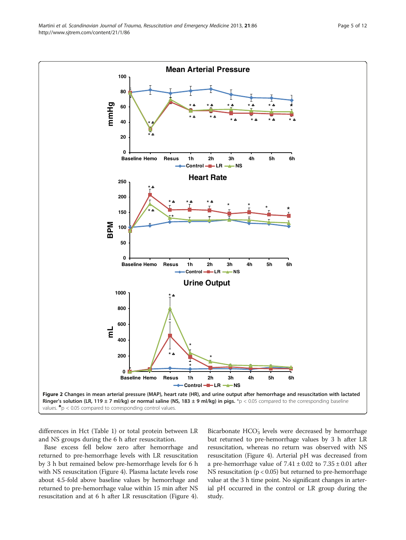<span id="page-4-0"></span>

differences in Hct (Table [1\)](#page-5-0) or total protein between LR and NS groups during the 6 h after resuscitation.

Base excess fell below zero after hemorrhage and returned to pre-hemorrhage levels with LR resuscitation by 3 h but remained below pre-hemorrhage levels for 6 h with NS resuscitation (Figure [4](#page-7-0)). Plasma lactate levels rose about 4.5-fold above baseline values by hemorrhage and returned to pre-hemorrhage value within 15 min after NS resuscitation and at 6 h after LR resuscitation (Figure [4](#page-7-0)).

Bicarbonate HCO<sub>3</sub> levels were decreased by hemorrhage but returned to pre-hemorrhage values by 3 h after LR resuscitation, whereas no return was observed with NS resuscitation (Figure [4](#page-7-0)). Arterial pH was decreased from a pre-hemorrhage value of  $7.41 \pm 0.02$  to  $7.35 \pm 0.01$  after NS resuscitation ( $p < 0.05$ ) but returned to pre-hemorrhage value at the 3 h time point. No significant changes in arterial pH occurred in the control or LR group during the study.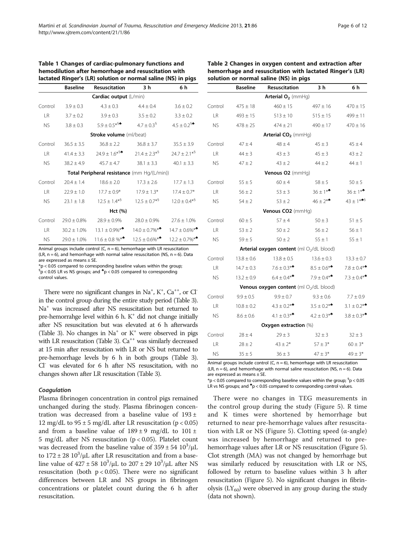|           | <b>Baseline</b>  | <b>Resuscitation</b>                             | 3 <sub>h</sub>              | 6 h                                            |
|-----------|------------------|--------------------------------------------------|-----------------------------|------------------------------------------------|
|           |                  | Cardiac output (L/min)                           |                             |                                                |
| Control   | $3.9 \pm 0.3$    | $4.3 \pm 0.3$                                    | $4.4 \pm 0.4$               | $3.6 \pm 0.2$                                  |
| LR.       | $3.7 \pm 0.2$    | $3.9 \pm 0.3$                                    | $3.5 \pm 0.2$               | $3.3 \pm 0.2$                                  |
| <b>NS</b> | $3.8 \pm 0.3$    | $5.9 \pm 0.5^{*5}$                               | $4.7 \pm 0.3^{\frac{6}{3}}$ | $4.5 \pm 0.2$ <sup>§<math>\bullet</math></sup> |
|           |                  | <b>Stroke volume</b> (ml/beat)                   |                             |                                                |
| Control   | $36.5 \pm 3.5$   | $36.8 \pm 2.2$                                   | $36.8 \pm 3.7$              | $35.5 \pm 3.9$                                 |
| <b>LR</b> | $41.4 \pm 3.3$   | $24.9 \pm 1.6*$ <sup>§<math>\bullet</math></sup> | $21.4 \pm 2.3^{*5}$         | $24.7 \pm 2.1^{*5}$                            |
| <b>NS</b> | $38.2 \pm 4.9$   | $45.7 \pm 4.7$                                   | $38.1 \pm 3.3$              | $40.1 \pm 3.3$                                 |
|           |                  | Total Peripheral resistance (mm Hg/(L/min))      |                             |                                                |
| Control   | $20.4 \pm 1.4$   | $18.6 \pm 2.0$                                   | $17.3 \pm 2.6$              | $17.7 \pm 1.3$                                 |
| <b>LR</b> | $22.9 \pm 1.0$   | $17.7 \pm 0.9*$                                  | $17.9 \pm 1.3*$             | $17.4 \pm 0.7*$                                |
| <b>NS</b> | $23.1 \pm 1.8$   | $12.5 \pm 1.4^{*5}$                              | $12.5 \pm 0.7$ <sup>*</sup> | $12.0 \pm 0.4^{*5}$                            |
|           |                  | Hct (%)                                          |                             |                                                |
| Control   | $29.0 \pm 0.8\%$ | $28.9 \pm 0.9\%$                                 | $28.0 \pm 0.9\%$            | $27.6 \pm 1.0\%$                               |
| <b>LR</b> | $30.2 \pm 1.0\%$ | $13.1 \pm 0.9\%$ **                              | $14.0 \pm 0.7\%$ **         | $14.7 \pm 0.6\%$ **                            |
| <b>NS</b> | $29.0 \pm 1.0\%$ | $11.6 \pm 0.8$ %**                               | $12.5 \pm 0.6\%$ **         | $12.2 \pm 0.7\%$ **                            |

<span id="page-5-0"></span>Table 1 Changes of cardiac-pulmonary functions and hemodilution after hemorrhage and resuscitation with

Animal groups include control  $(C, n = 6)$ , hemorrhage with LR resuscitation (LR,  $n = 6$ ), and hemorrhage with normal saline resuscitation (NS,  $n = 6$ ). Data are expressed as means ± SE.

 $*p < 0.05$  compared to corresponding baseline values within the group;

 $\rm{^6p}$  < 0.05 LR vs NS groups; and  $\rm{^4p}$  < 0.05 compared to corresponding

control values.

There were no significant changes in  $Na^+$ ,  $K^+$ ,  $Ca^{++}$ , or  $Cl^$ in the control group during the entire study period (Table [3\)](#page-8-0). Na+ was increased after NS resuscitation but returned to pre-hemorrahge level within  $6$  h.  $K^+$  did not change initially after NS resuscitation but was elevated at 6 h afterwards (Table [3\)](#page-8-0). No changes in  $Na^+$  or  $K^+$  were observed in pigs with LR resuscitation (Table [3\)](#page-8-0).  $Ca^{++}$  was similarly decreased at 15 min after resuscitation with LR or NS but returned to pre-hemorrhage levels by 6 h in both groups (Table [3\)](#page-8-0). Cl<sup>-</sup> was elevated for 6 h after NS resuscitation, with no changes shown after LR resuscitation (Table [3\)](#page-8-0).

#### Coagulatio<sup>n</sup>

Plasma fibrinogen concentration in control pigs remained unchanged during the study. Plasma fibrinogen concentration was decreased from a baseline value of  $193 \pm$ 12 mg/dL to  $95 \pm 5$  mg/dL after LR resuscitation (p < 0.05) and from a baseline value of  $189 \pm 9$  mg/dL to  $101 \pm$ 5 mg/dL after NS resuscitation (p < 0.05). Platelet count was decreased from the baseline value of  $359 \pm 54$   $10^3/\mu$ L to  $172 \pm 28$   $10^3$ / $\mu$ L after LR resuscitation and from a baseline value of  $427 \pm 58 \, 10^3/\mu L$  to  $207 \pm 29 \, 10^3/\mu L$  after NS resuscitation (both  $p < 0.05$ ). There were no significant differences between LR and NS groups in fibrinogen concentrations or platelet count during the 6 h after resuscitation.

| solution or normal saline (NS) in pigs                   |
|----------------------------------------------------------|
| hemorrhage and resuscitation with lactated Ringer's (LR) |
| Table 2 Changes in oxygen content and extraction after   |
|                                                          |

|           | <b>Baseline</b> | Resuscitation                                         | 3 h              | 6 h              |
|-----------|-----------------|-------------------------------------------------------|------------------|------------------|
|           |                 | Arterial $O_2$ (mmHg)                                 |                  |                  |
| Control   | $475 \pm 18$    | $460 \pm 15$                                          | $497 \pm 16$     | $470 \pm 15$     |
| <b>LR</b> | $493 \pm 15$    | $513 \pm 10$                                          | $515 \pm 15$     | $499 \pm 11$     |
| <b>NS</b> | $478 \pm 25$    | $474 \pm 21$                                          | $490 \pm 17$     | $470 \pm 16$     |
|           |                 | Arterial CO <sub>2</sub> (mmHq)                       |                  |                  |
| Control   | $47 \pm 4$      | $48 \pm 4$                                            | $45 \pm 3$       | $45 \pm 4$       |
| LR        | $44 \pm 3$      | $43 \pm 3$                                            | $45 \pm 3$       | $43 \pm 2$       |
| <b>NS</b> | $47 \pm 2$      | $43 \pm 2$                                            | $44 \pm 2$       | $44 \pm 1$       |
|           |                 | Venous O2 (mmHq)                                      |                  |                  |
| Control   | $55 \pm 5$      | $60\pm4$                                              | $58 \pm 5$       | $50 \pm 5$       |
| <b>LR</b> | $56 \pm 2$      | $53 \pm 3$                                            | $36 \pm 1**$     | $36 \pm 1*$      |
| <b>NS</b> | $54 \pm 2$      | $53 \pm 2$                                            | $46 \pm 2**$     | $43 \pm 1***$    |
|           |                 | Venous CO2 (mmHq)                                     |                  |                  |
| Control   | $60 \pm 5$      | $57 \pm 4$                                            | $50 \pm 3$       | $51 \pm 5$       |
| LR        | $53 \pm 2$      | $50 \pm 2$                                            | $56 \pm 2$       | $56 \pm 1$       |
| <b>NS</b> | $59 \pm 5$      | $50 \pm 2$                                            | $55 \pm 1$       | $55 \pm 1$       |
|           |                 | Arterial oxygen content (ml O <sub>2</sub> /dL blood) |                  |                  |
| Control   | $13.8 \pm 0.6$  | $13.8 \pm 0.5$                                        | $13.6 \pm 0.3$   | $13.3 \pm 0.7$   |
| LR        | $14.7 \pm 0.3$  | $7.6 \pm 0.3$ **                                      | $8.5 \pm 0.6$ ** | $7.8 \pm 0.4$ ** |
| <b>NS</b> | $13.2 \pm 0.9$  | $6.4 \pm 0.4*$                                        | $7.9 \pm 0.4*$   | $7.3 \pm 0.4$ ** |
|           |                 | Venous oxygen content (ml O <sub>2</sub> /dL blood)   |                  |                  |
| Control   | $9.9 \pm 0.5$   | $9.9 \pm 0.7$                                         | $9.3 \pm 0.6$    | $7.7 \pm 0.9$    |
| <b>LR</b> | $10.8 \pm 0.2$  | $4.3 \pm 0.2$ **                                      | $3.5 \pm 0.2$ ** | $3.1 \pm 0.2$ ** |
| <b>NS</b> | $8.6 \pm 0.6$   | 4.1 $\pm$ 0.3**                                       | $4.2 \pm 0.3$ ** | $3.8 \pm 0.3$ ** |
|           |                 | <b>Oxygen extraction (%)</b>                          |                  |                  |
| Control   | $28 \pm 4$      | $29 \pm 3$                                            | $32 \pm 3$       | $32 \pm 3$       |
| LR        | $28 \pm 2$      | $43 \pm 2*$                                           | $57 \pm 3*$      | $60 \pm 3*$      |
| <b>NS</b> | $35 \pm 5$      | $36 \pm 3$                                            | $47 \pm 3*$      | $49 \pm 3*$      |

Animal groups include control (C,  $n = 6$ ), hemorrhage with LR resuscitation  $(LR, n = 6)$ , and hemorrhage with normal saline resuscitation (NS,  $n = 6$ ). Data are expressed as means ± SE.

 $*p < 0.05$  compared to corresponding baseline values within the group;  ${}^{5}p < 0.05$ LR vs NS groups; and  $\text{*}$ p < 0.05 compared to corresponding control values.

There were no changes in TEG measurements in the control group during the study (Figure [5](#page-9-0)). R time and K times were shortened by hemorrhage but returned to near pre-hemorrhage values after resuscita-tion with LR or NS (Figure [5\)](#page-9-0). Clotting speed (α-angle) was increased by hemorrhage and returned to prehemorrhage values after LR or NS resuscitation (Figure [5](#page-9-0)). Clot strength (MA) was not changed by hemorrhage but was similarly reduced by resuscitation with LR or NS, followed by return to baseline values within 3 h after resuscitation (Figure [5](#page-9-0)). No significant changes in fibrinolysis  $(LY_{60})$  were observed in any group during the study (data not shown).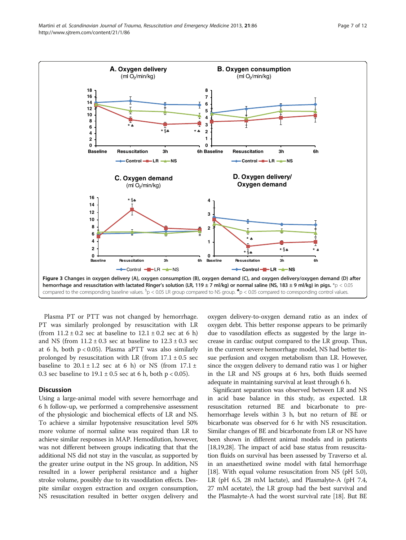<span id="page-6-0"></span>

Plasma PT or PTT was not changed by hemorrhage. PT was similarly prolonged by resuscitation with LR (from  $11.2 \pm 0.2$  sec at baseline to  $12.1 \pm 0.2$  sec at 6 h) and NS (from  $11.2 \pm 0.3$  sec at baseline to  $12.3 \pm 0.3$  sec at 6 h, both  $p < 0.05$ ). Plasma aPTT was also similarly prolonged by resuscitation with LR (from  $17.1 \pm 0.5$  sec baseline to  $20.1 \pm 1.2$  sec at 6 h) or NS (from  $17.1 \pm$ 0.3 sec baseline to  $19.1 \pm 0.5$  sec at 6 h, both p < 0.05).

### **Discussion**

Using a large-animal model with severe hemorrhage and 6 h follow-up, we performed a comprehensive assessment of the physiologic and biochemical effects of LR and NS. To achieve a similar hypotensive resuscitation level 50% more volume of normal saline was required than LR to achieve similar responses in MAP. Hemodilution, however, was not different between groups indicating that that the additional NS did not stay in the vascular, as supported by the greater urine output in the NS group. In addition, NS resulted in a lower peripheral resistance and a higher stroke volume, possibly due to its vasodilation effects. Despite similar oxygen extraction and oxygen consumption, NS resuscitation resulted in better oxygen delivery and oxygen delivery-to-oxygen demand ratio as an index of oxygen debt. This better response appears to be primarily due to vasodilation effects as suggested by the large increase in cardiac output compared to the LR group. Thus, in the current severe hemorrhage model, NS had better tissue perfusion and oxygen metabolism than LR. However, since the oxygen delivery to demand ratio was 1 or higher in the LR and NS groups at 6 hrs, both fluids seemed adequate in maintaining survival at least through 6 h.

Significant separation was observed between LR and NS in acid base balance in this study, as expected. LR resuscitation returned BE and bicarbonate to prehemorrhage levels within 3 h, but no return of BE or bicarbonate was observed for 6 hr with NS resuscitation. Similar changes of BE and bicarbonate from LR or NS have been shown in different animal models and in patients [[18,19,](#page-10-0)[28](#page-11-0)]. The impact of acid base status from resuscitation fluids on survival has been assessed by Traverso et al. in an anaesthetized swine model with fatal hemorrhage [[18](#page-10-0)]. With equal volume resuscitation from NS (pH 5.0), LR (pH 6.5, 28 mM lactate), and Plasmalyte-A (pH 7.4, 27 mM acetate), the LR group had the best survival and the Plasmalyte-A had the worst survival rate [[18](#page-10-0)]. But BE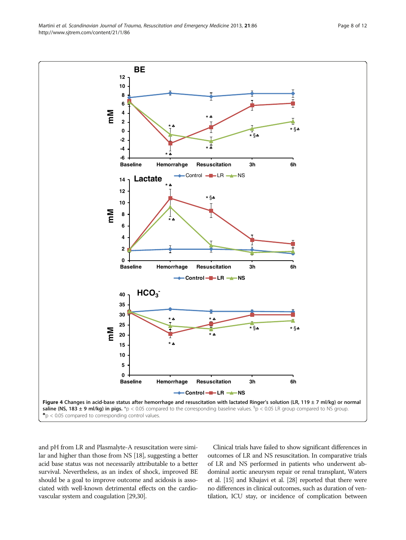and pH from LR and Plasmalyte-A resuscitation were similar and higher than those from NS [\[18\]](#page-10-0), suggesting a better acid base status was not necessarily attributable to a better survival. Nevertheless, as an index of shock, improved BE should be a goal to improve outcome and acidosis is associated with well-known detrimental effects on the cardiovascular system and coagulation [\[29,30](#page-11-0)].

Clinical trials have failed to show significant differences in outcomes of LR and NS resuscitation. In comparative trials of LR and NS performed in patients who underwent abdominal aortic aneurysm repair or renal transplant, Waters et al. [\[15](#page-10-0)] and Khajavi et al. [\[28](#page-11-0)] reported that there were no differences in clinical outcomes, such as duration of ventilation, ICU stay, or incidence of complication between

<span id="page-7-0"></span>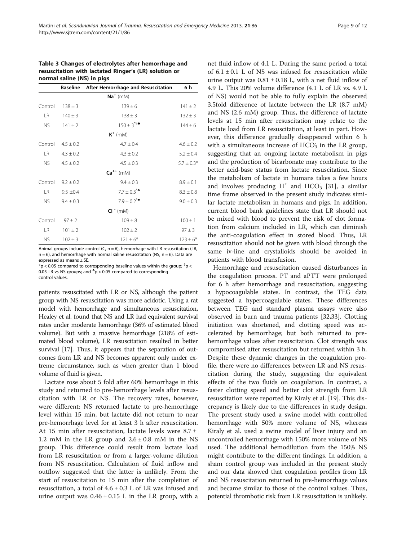# <span id="page-8-0"></span>Table 3 Changes of electrolytes after hemorrhage and resuscitation with lactated Ringer's (LR) solution or normal saline (NS) in pigs

|             | <b>Baseline</b> | After Hemorrhage and Resuscitation | 6 h            |  |  |
|-------------|-----------------|------------------------------------|----------------|--|--|
| $Na^+$ (mM) |                 |                                    |                |  |  |
| Control     | $138 \pm 3$     | $139 \pm 6$                        | $141 \pm 2$    |  |  |
| LR.         | $140 \pm 3$     | $138 \pm 3$                        | $132 \pm 3$    |  |  |
| NS.         | $141 \pm 2$     | $150 \pm 3^{45}$                   | $144 \pm 6$    |  |  |
|             |                 | $K^+$ (mM)                         |                |  |  |
| Control     | $4.5 \pm 0.2$   | $4.7 \pm 0.4$                      | $4.6 \pm 0.2$  |  |  |
| LR.         | $4.3 \pm 0.2$   | $4.3 \pm 0.2$                      | $5.2 \pm 0.4$  |  |  |
| NS.         | $4.5 + 0.2$     | $4.5 + 0.3$                        | $5.7 \pm 0.3*$ |  |  |
|             |                 | $Ca^{++}$ (mM)                     |                |  |  |
| Control     | $9.2 + 0.2$     | $9.4 \pm 0.3$                      | $8.9 \pm 0.1$  |  |  |
| <b>LR</b>   | $9.5 \pm 0.4$   | $7.7 \pm 0.3$ <sup>**</sup>        | $8.3 \pm 0.8$  |  |  |
| NS.         | $9.4 \pm 0.3$   | $7.9 + 0.2$ <sup>**</sup>          | $9.0 \pm 0.3$  |  |  |
|             |                 | $CI^-$ (mM)                        |                |  |  |
| Control     | $97 \pm 2$      | $109 \pm 8$                        | $100 \pm 1$    |  |  |
| <b>LR</b>   | $101 \pm 2$     | $102 \pm 2$                        | $97 \pm 3$     |  |  |
| <b>NS</b>   | $102 \pm 3$     | $121 \pm 6*$                       | $123 \pm 6*$   |  |  |

Animal groups include control (C,  $n = 6$ ), hemorrhage with LR resuscitation (LR,  $n = 6$ ), and hemorrhage with normal saline resuscitation (NS,  $n = 6$ ). Data are expressed as means ± SE.

 $p^*$ p < 0.05 compared to corresponding baseline values within the group;  ${}^{5}$ p < 0.05 LR vs NS groups; and  $p$  < 0.05 compared to corresponding control values.

patients resuscitated with LR or NS, although the patient group with NS resuscitation was more acidotic. Using a rat model with hemorrhage and simultaneous resuscitation, Healey et al. found that NS and LR had equivalent survival rates under moderate hemorrhage (36% of estimated blood volume). But with a massive hemorrhage (218% of estimated blood volume), LR resuscitation resulted in better survival [\[17](#page-10-0)]. Thus, it appears that the separation of outcomes from LR and NS becomes apparent only under extreme circumstance, such as when greater than 1 blood volume of fluid is given.

Lactate rose about 5 fold after 60% hemorrhage in this study and returned to pre-hemorrhage levels after resuscitation with LR or NS. The recovery rates, however, were different: NS returned lactate to pre-hemorrhage level within 15 min, but lactate did not return to near pre-hemorrhage level for at least 3 h after resuscitation. At 15 min after resuscitation, lactate levels were  $8.7 \pm$ 1.2 mM in the LR group and  $2.6 \pm 0.8$  mM in the NS group. This difference could result from lactate load from LR resuscitation or from a larger-volume dilution from NS resuscitation. Calculation of fluid inflow and outflow suggested that the latter is unlikely. From the start of resuscitation to 15 min after the completion of resuscitation, a total of  $4.6 \pm 0.3$  L of LR was infused and urine output was  $0.46 \pm 0.15$  L in the LR group, with a net fluid inflow of 4.1 L. During the same period a total of  $6.1 \pm 0.1$  L of NS was infused for resuscitation while urine output was  $0.81 \pm 0.18$  L, with a net fluid inflow of 4.9 L. This 20% volume difference (4.1 L of LR vs. 4.9 L of NS) would not be able to fully explain the observed 3.5fold difference of lactate between the LR (8.7 mM) and NS (2.6 mM) group. Thus, the difference of lactate levels at 15 min after resuscitation may relate to the lactate load from LR resuscitation, at least in part. However, this difference gradually disappeared within 6 h with a simultaneous increase of HCO<sub>3</sub> in the LR group, suggesting that an ongoing lactate metabolism in pigs and the production of bicarbonate may contribute to the better acid-base status from lactate resuscitation. Since the metabolism of lactate in humans takes a few hours and involves producing  $H^+$  and  $HCO_3^-$  [[31\]](#page-11-0), a similar time frame observed in the present study indicates similar lactate metabolism in humans and pigs. In addition, current blood bank guidelines state that LR should not be mixed with blood to prevent the risk of clot formation from calcium included in LR, which can diminish the anti-coagulation effect in stored blood. Thus, LR resuscitation should not be given with blood through the same iv-line and crystalloids should be avoided in patients with blood transfusion.

Hemorrhage and resuscitation caused disturbances in the coagulation process. PT and aPTT were prolonged for 6 h after hemorrhage and resuscitation, suggesting a hypocoagulable states. In contrast, the TEG data suggested a hypercoagulable states. These differences between TEG and standard plasma assays were also observed in burn and trauma patients [[32,33\]](#page-11-0). Clotting initiation was shortened, and clotting speed was accelerated by hemorrhage; but both returned to prehemorrhage values after resuscitation. Clot strength was compromised after resuscitation but returned within 3 h. Despite these dynamic changes in the coagulation profile, there were no differences between LR and NS resuscitation during the study, suggesting the equivalent effects of the two fluids on coagulation. In contrast, a faster clotting speed and better clot strength from LR resuscitation were reported by Kiraly et al. [\[19](#page-10-0)]. This discrepancy is likely due to the differences in study design. The present study used a swine model with controlled hemorrhage with 50% more volume of NS, whereas Kiraly et al. used a swine model of liver injury and an uncontrolled hemorrhage with 150% more volume of NS used. The additional hemodilution from the 150% NS might contribute to the different findings. In addition, a sham control group was included in the present study and our data showed that coagulation profiles from LR and NS resuscitation returned to pre-hemorrhage values and became similar to those of the control values. Thus, potential thrombotic risk from LR resuscitation is unlikely.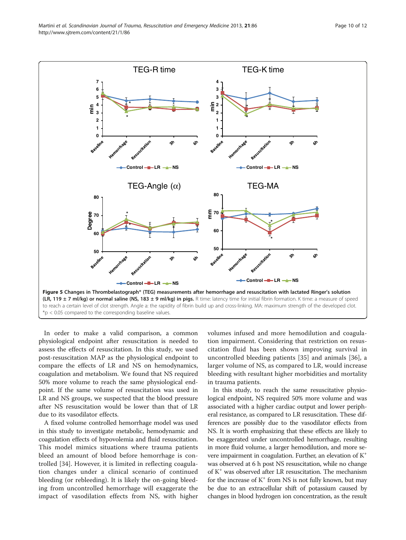<span id="page-9-0"></span>

In order to make a valid comparison, a common physiological endpoint after resuscitation is needed to assess the effects of resuscitation. In this study, we used post-resuscitation MAP as the physiological endpoint to compare the effects of LR and NS on hemodynamics, coagulation and metabolism. We found that NS required 50% more volume to reach the same physiological endpoint. If the same volume of resuscitation was used in LR and NS groups, we suspected that the blood pressure after NS resuscitation would be lower than that of LR due to its vasodilator effects.

A fixed volume controlled hemorrhage model was used in this study to investigate metabolic, hemodynamic and coagulation effects of hypovolemia and fluid resuscitation. This model mimics situations where trauma patients bleed an amount of blood before hemorrhage is controlled [\[34](#page-11-0)]. However, it is limited in reflecting coagulation changes under a clinical scenario of continued bleeding (or rebleeding). It is likely the on-going bleeding from uncontrolled hemorrhage will exaggerate the impact of vasodilation effects from NS, with higher

volumes infused and more hemodilution and coagulation impairment. Considering that restriction on resuscitation fluid has been shown improving survival in uncontrolled bleeding patients [\[35](#page-11-0)] and animals [[36](#page-11-0)], a larger volume of NS, as compared to LR, would increase bleeding with resultant higher morbidities and mortality in trauma patients.

In this study, to reach the same resuscitative physiological endpoint, NS required 50% more volume and was associated with a higher cardiac output and lower peripheral resistance, as compared to LR resuscitation. These differences are possibly due to the vasodilator effects from NS. It is worth emphasizing that these effects are likely to be exaggerated under uncontrolled hemorrhage, resulting in more fluid volume, a larger hemodilution, and more severe impairment in coagulation. Further, an elevation of K+ was observed at 6 h post NS resuscitation, while no change of K+ was observed after LR resuscitation. The mechanism for the increase of  $K^+$  from NS is not fully known, but may be due to an extracellular shift of potassium caused by changes in blood hydrogen ion concentration, as the result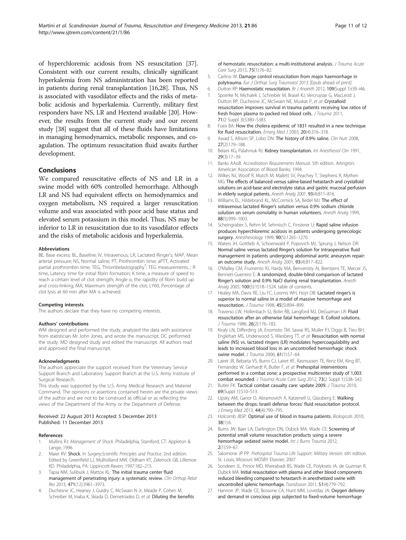<span id="page-10-0"></span>of hyperchloremic acidosis from NS resuscitation [[37](#page-11-0)]. Consistent with our current results, clinically significant hyperkalemia from NS administration has been reported in patients during renal transplantation [16,[28](#page-11-0)]. Thus, NS is associated with vasodilator effects and the risks of metabolic acidosis and hyperkalemia. Currently, military first responders have NS, LR and Hextend available [20]. However, the results from the current study and our recent study [[38](#page-11-0)] suggest that all of these fluids have limitations in managing hemodynamics, metabolic responses, and coagulation. The optimum resuscitation fluid awaits further development.

# Conclusions

We compared resuscitative effects of NS and LR in a swine model with 60% controlled hemorrhage. Although LR and NS had equivalent effects on hemodynamics and oxygen metabolism, NS required a larger resuscitation volume and was associated with poor acid base status and elevated serum potassium in this model. Thus, NS may be inferior to LR in resuscitation due to its vasodilator effects and the risks of metabolic acidosis and hyperkalemia.

#### Abbreviations

BE, Base excess; BL, Baseline; IV, Intravenous; LR, Lactated Ringer's; MAP, Mean arterial pressure; NS, Normal saline; PT, Prothrombin time; aPTT, Activated partial prothrombin time; TEG, Thrombelastography<sup>\*</sup>; TEG measurements, ; R time, Latency time for initial fibrin formation; K time, a measure of speed to reach a certain level of clot strength; Angle α, the rapidity of fibrin build up and cross-linking; MA, Maximum strength of the clot; LY60, Percentage of clot lysis at 60 min after MA is achieved.

#### Competing interests

The authors declare that they have no competing interests.

#### Authors' contributions

WM designed and performed the study, analyzed the data with assistance from statistician Mr John Jones, and wrote the manuscript. DC performed the study. MD designed study and edited the manuscript. All authors read and approved the final manuscript.

#### Acknowledgments

The authors appreciate the support received from the Veterinary Service Support Branch and Laboratory Support Branch at the U.S. Army Institute of Surgical Research.

This study was supported by the U.S. Army Medical Research and Materiel Command. The opinions or assertions contained herein are the private views of the author and are not to be construed as official or as reflecting the views of the Department of the Army or the Department of Defense.

#### Received: 22 August 2013 Accepted: 5 December 2013 Published: 11 December 2013

#### References

- Mullins RJ: Management of Shock. Philadelphia, Stamford, CT: Appleton & Lange; 1996.
- 2. Maier RV: Shock. In Surgery: Scientific Principles and Practice. 2nd edition. Edited by Greenfield LJ, Mulholland MW, Oldham KT, Zelenock GB, Lillemoe KD. Philadelphia, PA: Lippincott-Raven; 1997:182–215.
- 3. Tapia NM, Suliburk J, Mattox KL: The initial trauma center fluid management of penetrating injury: a systematic review. Clin Orthop Relat Res 2013, 471(12):3961–3973.
- 4. Duchesne JC, Heaney J, Guidry C, McSwain N Jr, Meade P, Cohen M, Schreiber M, Inaba K, Skiada D, Demetriades D, et al: Diluting the benefits

of hemostatic resuscitation: a multi-institutional analysis. J Trauma Acute Care Surg 2013, 75(1):76–82.

- 5. Carlino W: Damage control resuscitation from major haemorrhage in polytrauma. Eur J Orthop Surg Traumatol 2013 [Epub ahead of print]
- 6. Dutton RP: Haemostatic resuscitation. Br J Anaesth 2012, 109(Suppl 1):i39-i46.
- 7. Spoerke N, Michalek J, Schreiber M, Brasel KJ, Vercruysse G, MacLeod J, Dutton RP, Duchesne JC, McSwain NE, Muskat P, et al: Crystalloid resuscitation improves survival in trauma patients receiving low ratios of fresh frozen plasma to packed red blood cells. J Trauma 2011, 71(2 Suppl 3):S380–S383.
- 8. Foex BA: How the cholera epidemic of 1831 resulted in a new technique for fluid resuscitation. Emerg Med J 2003, 20(4):316–318.
- 9. Awad S, Allison SP, Lobo DN: The history of 0.9% saline. Clin Nutr 2008, 27(2):179–188.
- 10. Belani KG, Palahniuk RJ: Kidney transplantation. Int Anesthesiol Clin 1991, 29(3):17–39.
- 11. Banks AAoB: Accreditation Requirements Manual. 5th edition. Arlington: American Association of Blood Banks; 1994.
- 12. Wilkes NJ, Woolf R, Mutch M, Mallett SV, Peachey T, Stephens R, Mythen MG: The effects of balanced versus saline-based hetastarch and crystalloid solutions on acid-base and electrolyte status and gastric mucosal perfusion in elderly surgical patients. Anesth Analg 2001, 93(4):811–816.
- 13. Williams EL, Hildebrand KL, McCormick SA, Bedel MJ: The effect of intravenous lactated Ringer's solution versus 0.9% sodium chloride solution on serum osmolality in human volunteers. Anesth Analg 1999, 88(5):999–1003.
- 14. Scheingraber S, Rehm M, Sehmisch C, Finsterer U: Rapid saline infusion produces hyperchloremic acidosis in patients undergoing gynecologic surgery. Anesthesiology 1999, 90(5):1265–1270.
- 15. Waters JH, Gottlieb A, Schoenwald P, Popovich MJ, Sprung J, Nelson DR: Normal saline versus lactated Ringer's solution for intraoperative fluid management in patients undergoing abdominal aortic aneurysm repair: an outcome study. Anesth Analg 2001, 93(4):817–822.
- 16. O'Malley CM, Frumento RJ, Hardy MA, Benvenisty AI, Brentjens TE, Mercer JS, Bennett-Guerrero E: A randomized, double-blind comparison of lactated Ringer's solution and 0.9% NaCl during renal transplantation. Anesth Analg 2005, 100(5):1518-1524. table of contents.
- 17. Healey MA, Davis RE, Liu FC, Loomis WH, Hoyt DB: Lactated ringer's is superior to normal saline in a model of massive hemorrhage and resuscitation. J Trauma 1998, 45(5):894–899.
- 18. Traverso LW, Hollenbach SJ, Bolin RB, Langford MJ, DeGuzman LR: Fluid resuscitation after an otherwise fatal hemorrhage: II. Colloid solutions. J Trauma 1986, 26(2):176-182.
- 19. Kiraly LN, Differding JA, Enomoto TM, Sawai RS, Muller PJ, Diggs B, Tieu BH, Englehart MS, Underwood S, Wiesberg TT, et al: Resuscitation with normal saline (NS) vs. lactated ringers (LR) modulates hypercoagulability and leads to increased blood loss in an uncontrolled hemorrhagic shock swine model. J Trauma 2006, 61(1):57–64.
- 20. Lairet JR, Bebarta VS, Burns CJ, Lairet KF, Rasmussen TE, Renz EM, King BT, Fernandez W, Gerhardt R, Butler F, et al: Prehospital interventions performed in a combat zone: a prospective multicenter study of 1,003 combat wounded. J Trauma Acute Care Surg 2012, 73(2 Suppl 1):S38–S42.
- 21. Butler FK: Tactical combat casualty care: update 2009. J Trauma 2010, 69(Suppl 1):S10–S13.
- 22. Lipsky AM, Ganor O, Abramovich A, Katzenell U, Glassberg E: Walking between the drops: Israeli defense forces' fluid resuscitation protocol. J Emerg Med 2013, 44(4):790-795.
- 23. Holcomb JBSP: Optimal use of blood in trauma patients. Biologicals 2010, 38(1):6.
- 24. Burns JW, Baer LA, Darlington DN, Dubick MA, Wade CE: Screening of potential small volume resuscitation products using a severe hemorrhage sedated swine model. Int J Burns Trauma 2012, 2(1):59–67.
- 25. Salomone JP PP: Prehospital Trauma Life Support: Military Version. 6th edition. St. Louis, Missouri: MOSBY Elsevier; 2007.
- 26. Sondeen JL, Prince MD, Kheirabadi BS, Wade CE, Polykratis IA, de Guzman R, Dubick MA: Initial resuscitation with plasma and other blood components reduced bleeding compared to hetastarch in anesthetized swine with uncontrolled splenic hemorrhage. Transfusion 2011, 51(4):779–792.
- 27. Hannon JP, Wade CE, Bossone CA, Hunt MM, Loveday JA: Oxygen delivery and demand in conscious pigs subjected to fixed-volume hemorrhage